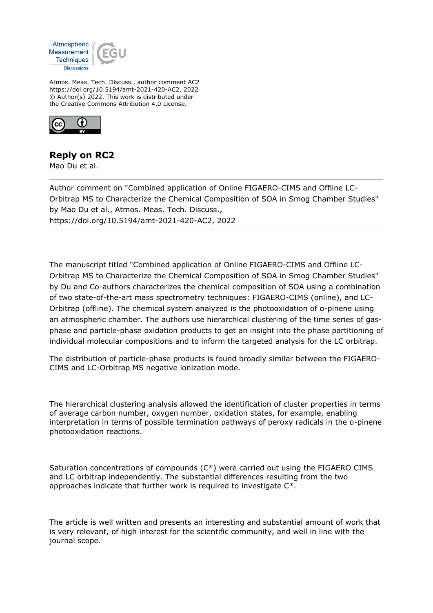

Atmos. Meas. Tech. Discuss., author comment AC2 https://doi.org/10.5194/amt-2021-420-AC2, 2022 © Author(s) 2022. This work is distributed under the Creative Commons Attribution 4.0 License.



## **Reply on RC2**

Mao Du et al.

Author comment on "Combined application of Online FIGAERO-CIMS and Offline LC-Orbitrap MS to Characterize the Chemical Composition of SOA in Smog Chamber Studies" by Mao Du et al., Atmos. Meas. Tech. Discuss., https://doi.org/10.5194/amt-2021-420-AC2, 2022

The manuscript titled "Combined application of Online FIGAERO-CIMS and Offline LC-Orbitrap MS to Characterize the Chemical Composition of SOA in Smog Chamber Studies" by Du and Co-authors characterizes the chemical composition of SOA using a combination of two state-of-the-art mass spectrometry techniques: FIGAERO-CIMS (online), and LC-Orbitrap (offline). The chemical system analyzed is the photooxidation of α-pinene using an atmospheric chamber. The authors use hierarchical clustering of the time series of gasphase and particle-phase oxidation products to get an insight into the phase partitioning of individual molecular compositions and to inform the targeted analysis for the LC orbitrap.

The distribution of particle-phase products is found broadly similar between the FIGAERO-CIMS and LC-Orbitrap MS negative ionization mode.

The hierarchical clustering analysis allowed the identification of cluster properties in terms of average carbon number, oxygen number, oxidation states, for example, enabling interpretation in terms of possible termination pathways of peroxy radicals in the α-pinene photooxidation reactions.

Saturation concentrations of compounds (C\*) were carried out using the FIGAERO CIMS and LC orbitrap independently. The substantial differences resulting from the two approaches indicate that further work is required to investigate C\*.

The article is well written and presents an interesting and substantial amount of work that is very relevant, of high interest for the scientific community, and well in line with the journal scope.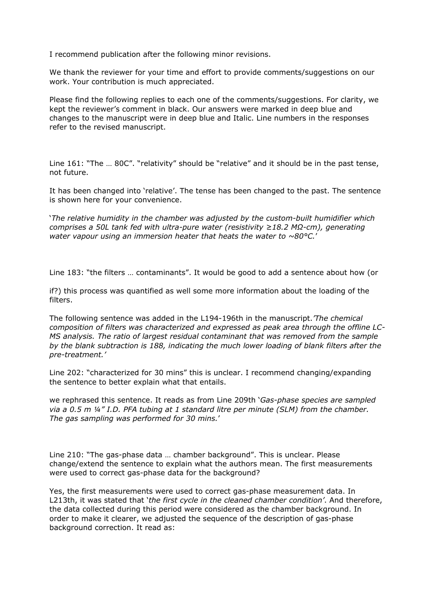I recommend publication after the following minor revisions.

We thank the reviewer for your time and effort to provide comments/suggestions on our work. Your contribution is much appreciated.

Please find the following replies to each one of the comments/suggestions. For clarity, we kept the reviewer's comment in black. Our answers were marked in deep blue and changes to the manuscript were in deep blue and Italic. Line numbers in the responses refer to the revised manuscript.

Line 161: "The … 80C". "relativity" should be "relative" and it should be in the past tense, not future.

It has been changed into 'relative'. The tense has been changed to the past. The sentence is shown here for your convenience.

'*The relative humidity in the chamber was adjusted by the custom-built humidifier which comprises a 50L tank fed with ultra-pure water (resistivity ≥18.2 MΩ-cm), generating water vapour using an immersion heater that heats the water to ~80°C.*'

Line 183: "the filters … contaminants". It would be good to add a sentence about how (or

if?) this process was quantified as well some more information about the loading of the filters.

The following sentence was added in the L194-196th in the manuscript.*'The chemical composition of filters was characterized and expressed as peak area through the offline LC-MS analysis. The ratio of largest residual contaminant that was removed from the sample by the blank subtraction is 188, indicating the much lower loading of blank filters after the pre-treatment.'*

Line 202: "characterized for 30 mins" this is unclear. I recommend changing/expanding the sentence to better explain what that entails.

we rephrased this sentence. It reads as from Line 209th '*Gas-phase species are sampled via a 0.5 m ¼" I.D. PFA tubing at 1 standard litre per minute (SLM) from the chamber. The gas sampling was performed for 30 mins.*'

Line 210: "The gas-phase data … chamber background". This is unclear. Please change/extend the sentence to explain what the authors mean. The first measurements were used to correct gas-phase data for the background?

Yes, the first measurements were used to correct gas-phase measurement data. In L213th, it was stated that '*the first cycle in the cleaned chamber condition'*. And therefore, the data collected during this period were considered as the chamber background. In order to make it clearer, we adjusted the sequence of the description of gas-phase background correction. It read as: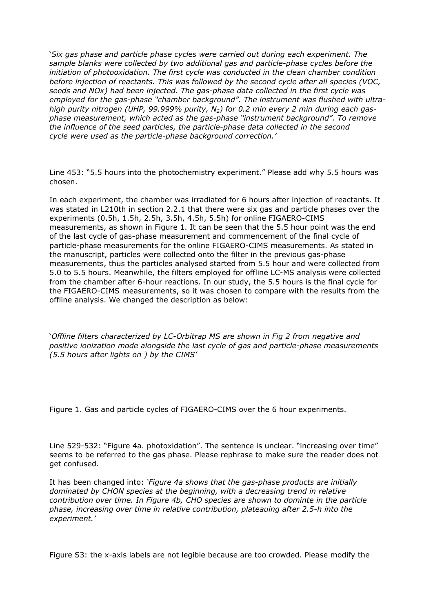'*Six gas phase and particle phase cycles were carried out during each experiment. The sample blanks were collected by two additional gas and particle-phase cycles before the initiation of photooxidation. The first cycle was conducted in the clean chamber condition before injection of reactants. This was followed by the second cycle after all species (VOC, seeds and NOx) had been injected. The gas-phase data collected in the first cycle was employed for the gas-phase "chamber background". The instrument was flushed with ultrahigh purity nitrogen (UHP, 99.999% purity, N2) for 0.2 min every 2 min during each gasphase measurement, which acted as the gas-phase "instrument background". To remove the influence of the seed particles, the particle-phase data collected in the second cycle were used as the particle-phase background correction.'*

Line 453: "5.5 hours into the photochemistry experiment." Please add why 5.5 hours was chosen.

In each experiment, the chamber was irradiated for 6 hours after injection of reactants. It was stated in L210th in section 2.2.1 that there were six gas and particle phases over the experiments (0.5h, 1.5h, 2.5h, 3.5h, 4.5h, 5.5h) for online FIGAERO-CIMS measurements, as shown in Figure 1. It can be seen that the 5.5 hour point was the end of the last cycle of gas-phase measurement and commencement of the final cycle of particle-phase measurements for the online FIGAERO-CIMS measurements. As stated in the manuscript, particles were collected onto the filter in the previous gas-phase measurements, thus the particles analysed started from 5.5 hour and were collected from 5.0 to 5.5 hours. Meanwhile, the filters employed for offline LC-MS analysis were collected from the chamber after 6-hour reactions. In our study, the 5.5 hours is the final cycle for the FIGAERO-CIMS measurements, so it was chosen to compare with the results from the offline analysis. We changed the description as below:

'*Offline filters characterized by LC-Orbitrap MS are shown in Fig 2 from negative and positive ionization mode alongside the last cycle of gas and particle-phase measurements (5.5 hours after lights on ) by the CIMS'*

Figure 1. Gas and particle cycles of FIGAERO-CIMS over the 6 hour experiments.

Line 529-532: "Figure 4a. photoxidation". The sentence is unclear. "increasing over time" seems to be referred to the gas phase. Please rephrase to make sure the reader does not get confused.

It has been changed into: *'Figure 4a shows that the gas-phase products are initially dominated by CHON species at the beginning, with a decreasing trend in relative contribution over time. In Figure 4b, CHO species are shown to dominte in the particle phase, increasing over time in relative contribution, plateauing after 2.5-h into the experiment.'*

Figure S3: the x-axis labels are not legible because are too crowded. Please modify the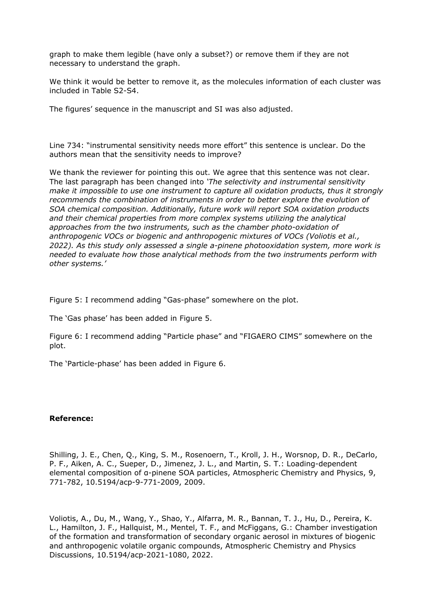graph to make them legible (have only a subset?) or remove them if they are not necessary to understand the graph.

We think it would be better to remove it, as the molecules information of each cluster was included in Table S2-S4.

The figures' sequence in the manuscript and SI was also adjusted.

Line 734: "instrumental sensitivity needs more effort" this sentence is unclear. Do the authors mean that the sensitivity needs to improve?

We thank the reviewer for pointing this out. We agree that this sentence was not clear. The last paragraph has been changed into *'The selectivity and instrumental sensitivity make it impossible to use one instrument to capture all oxidation products, thus it strongly recommends the combination of instruments in order to better explore the evolution of SOA chemical composition. Additionally, future work will report SOA oxidation products and their chemical properties from more complex systems utilizing the analytical approaches from the two instruments, such as the chamber photo-oxidation of anthropogenic VOCs or biogenic and anthropogenic mixtures of VOCs (Voliotis et al., 2022). As this study only assessed a single a-pinene photooxidation system, more work is needed to evaluate how those analytical methods from the two instruments perform with other systems.'*

Figure 5: I recommend adding "Gas-phase" somewhere on the plot.

The 'Gas phase' has been added in Figure 5.

Figure 6: I recommend adding "Particle phase" and "FIGAERO CIMS" somewhere on the plot.

The 'Particle-phase' has been added in Figure 6.

## **Reference:**

Shilling, J. E., Chen, Q., King, S. M., Rosenoern, T., Kroll, J. H., Worsnop, D. R., DeCarlo, P. F., Aiken, A. C., Sueper, D., Jimenez, J. L., and Martin, S. T.: Loading-dependent elemental composition of α-pinene SOA particles, Atmospheric Chemistry and Physics, 9, 771-782, 10.5194/acp-9-771-2009, 2009.

Voliotis, A., Du, M., Wang, Y., Shao, Y., Alfarra, M. R., Bannan, T. J., Hu, D., Pereira, K. L., Hamilton, J. F., Hallquist, M., Mentel, T. F., and McFiggans, G.: Chamber investigation of the formation and transformation of secondary organic aerosol in mixtures of biogenic and anthropogenic volatile organic compounds, Atmospheric Chemistry and Physics Discussions, 10.5194/acp-2021-1080, 2022.